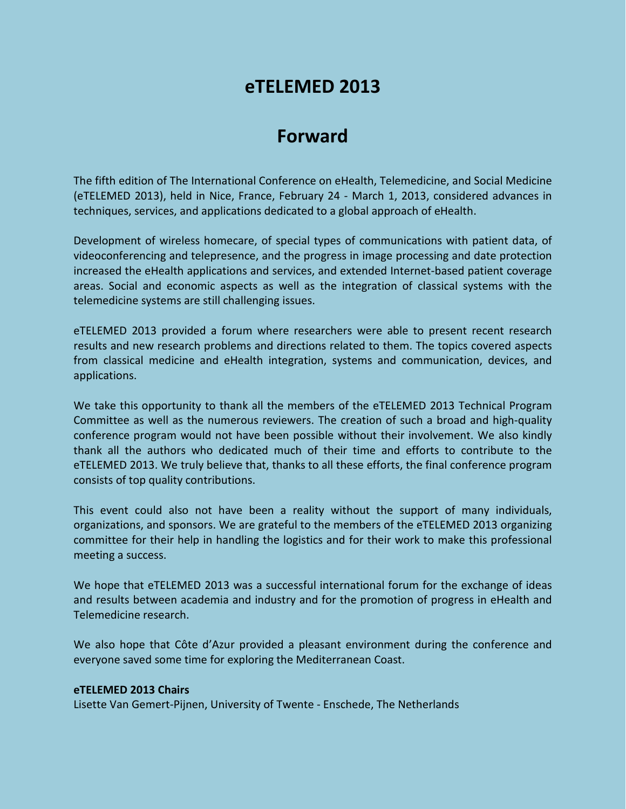## **eTELEMED 2013**

## **Forward**

The fifth edition of The International Conference on eHealth, Telemedicine, and Social Medicine (eTELEMED 2013), held in Nice, France, February 24 - March 1, 2013, considered advances in techniques, services, and applications dedicated to a global approach of eHealth.

Development of wireless homecare, of special types of communications with patient data, of videoconferencing and telepresence, and the progress in image processing and date protection increased the eHealth applications and services, and extended Internet-based patient coverage areas. Social and economic aspects as well as the integration of classical systems with the telemedicine systems are still challenging issues.

eTELEMED 2013 provided a forum where researchers were able to present recent research results and new research problems and directions related to them. The topics covered aspects from classical medicine and eHealth integration, systems and communication, devices, and applications.

We take this opportunity to thank all the members of the eTELEMED 2013 Technical Program Committee as well as the numerous reviewers. The creation of such a broad and high-quality conference program would not have been possible without their involvement. We also kindly thank all the authors who dedicated much of their time and efforts to contribute to the eTELEMED 2013. We truly believe that, thanks to all these efforts, the final conference program consists of top quality contributions.

This event could also not have been a reality without the support of many individuals, organizations, and sponsors. We are grateful to the members of the eTELEMED 2013 organizing committee for their help in handling the logistics and for their work to make this professional meeting a success.

We hope that eTELEMED 2013 was a successful international forum for the exchange of ideas and results between academia and industry and for the promotion of progress in eHealth and Telemedicine research.

We also hope that Côte d'Azur provided a pleasant environment during the conference and everyone saved some time for exploring the Mediterranean Coast.

## **eTELEMED 2013 Chairs**

Lisette Van Gemert-Pijnen, University of Twente - Enschede, The Netherlands